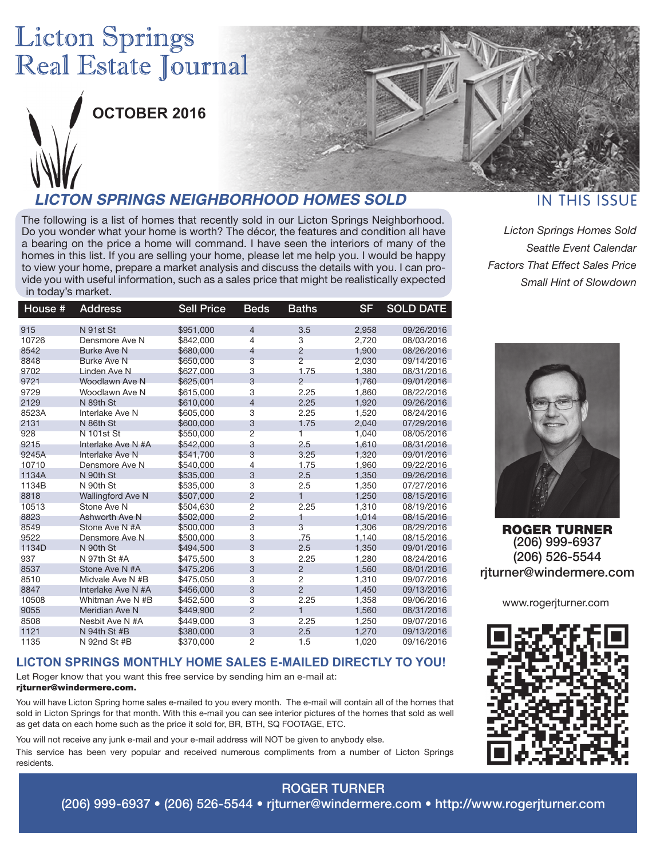# **Licton Springs** Real Estate Journal



**OCTOBER 2016**

### **LICTON SPRINGS NEIGHBORHOOD HOMES SOLD**

The following is a list of homes that recently sold in our Licton Springs Neighborhood. Do you wonder what your home is worth? The décor, the features and condition all have a bearing on the price a home will command. I have seen the interiors of many of the homes in this list. If you are selling your home, please let me help you. I would be happy to view your home, prepare a market analysis and discuss the details with you. I can provide you with useful information, such as a sales price that might be realistically expected in today's market.

| House # | Address                  | <b>Sell Price</b> | <b>Beds</b>    | Baths          | <b>SF</b> | <b>SOLD DATE</b> |
|---------|--------------------------|-------------------|----------------|----------------|-----------|------------------|
| 915     | N 91st St                | \$951,000         | 4              | 3.5            | 2,958     | 09/26/2016       |
| 10726   | Densmore Ave N           | \$842,000         | 4              | 3              | 2,720     | 08/03/2016       |
| 8542    | <b>Burke Ave N</b>       | \$680,000         | 4              | $\overline{2}$ | 1,900     | 08/26/2016       |
| 8848    | <b>Burke Ave N</b>       | \$650,000         | 3              | $\overline{2}$ | 2,030     | 09/14/2016       |
| 9702    | Linden Ave N             | \$627,000         | 3              | 1.75           | 1,380     | 08/31/2016       |
| 9721    | Woodlawn Ave N           | \$625.001         | 3              | $\overline{2}$ | 1.760     | 09/01/2016       |
| 9729    | Woodlawn Ave N           | \$615,000         | 3              | 2.25           | 1,860     | 08/22/2016       |
| 2129    | N 89th St                | \$610,000         | $\overline{4}$ | 2.25           | 1,920     | 09/26/2016       |
| 8523A   | Interlake Ave N          | \$605,000         | 3              | 2.25           | 1,520     | 08/24/2016       |
| 2131    | N 86th St                | \$600,000         | 3              | 1.75           | 2,040     | 07/29/2016       |
| 928     | <b>N</b> 101st St        | \$550,000         | $\overline{2}$ | 1              | 1.040     | 08/05/2016       |
| 9215    | Interlake Ave N #A       | \$542,000         | 3              | 2.5            | 1,610     | 08/31/2016       |
| 9245A   | Interlake Ave N          | \$541,700         | 3              | 3.25           | 1,320     | 09/01/2016       |
| 10710   | Densmore Ave N           | \$540,000         | 4              | 1.75           | 1,960     | 09/22/2016       |
| 1134A   | N 90th St                | \$535,000         | 3              | 2.5            | 1,350     | 09/26/2016       |
| 1134B   | N 90th St                | \$535,000         | 3              | 2.5            | 1,350     | 07/27/2016       |
| 8818    | <b>Wallingford Ave N</b> | \$507,000         | $\overline{2}$ | 1              | 1,250     | 08/15/2016       |
| 10513   | Stone Ave N              | \$504.630         | $\overline{2}$ | 2.25           | 1,310     | 08/19/2016       |
| 8823    | Ashworth Ave N           | \$502,000         | $\overline{c}$ | 1              | 1,014     | 08/15/2016       |
| 8549    | Stone Ave N #A           | \$500,000         | 3              | 3              | 1,306     | 08/29/2016       |
| 9522    | Densmore Ave N           | \$500,000         | 3              | .75            | 1.140     | 08/15/2016       |
| 1134D   | N 90th St                | \$494,500         | 3              | 2.5            | 1,350     | 09/01/2016       |
| 937     | N 97th St #A             | \$475,500         | 3              | 2.25           | 1,280     | 08/24/2016       |
| 8537    | Stone Ave N #A           | \$475,206         | 3              | $\overline{2}$ | 1,560     | 08/01/2016       |
| 8510    | Midvale Ave N #B         | \$475.050         | 3              | 2              | 1.310     | 09/07/2016       |
| 8847    | Interlake Ave N #A       | \$456,000         | 3              | $\overline{2}$ | 1,450     | 09/13/2016       |
| 10508   | Whitman Ave N #B         | \$452,500         | 3              | 2.25           | 1,358     | 09/06/2016       |
| 9055    | <b>Meridian Ave N</b>    | \$449,900         | $\overline{2}$ | $\mathbf{1}$   | 1,560     | 08/31/2016       |
| 8508    | Nesbit Ave N #A          | \$449,000         | 3              | 2.25           | 1,250     | 09/07/2016       |
| 1121    | N 94th St #B             | \$380,000         | 3              | 2.5            | 1,270     | 09/13/2016       |
| 1135    | N 92nd St #B             | \$370,000         | $\overline{2}$ | 1.5            | 1.020     | 09/16/2016       |

#### **LICTON SPRINGS MONTHLY HOME SALES E-MAILED DIRECTLY TO YOU!**

Let Roger know that you want this free service by sending him an e-mail at:

#### rjturner@windermere.com.

You will have Licton Spring home sales e-mailed to you every month. The e-mail will contain all of the homes that sold in Licton Springs for that month. With this e-mail you can see interior pictures of the homes that sold as well as get data on each home such as the price it sold for, BR, BTH, SQ FOOTAGE, ETC.

You will not receive any junk e-mail and your e-mail address will NOT be given to anybody else.

This service has been very popular and received numerous compliments from a number of Licton Springs residents.

### **IN THIS ISSUE**

*Licton Springs Homes Sold Seattle Event Calendar Factors That Effect Sales Price Small Hint of Slowdown*



ROGER TURNER (206) 999-6937 (206) 526-5544 rjturner@windermere.com

www.rogerjturner.com



# ROGER TURNER

(206) 999-6937 • (206) 526-5544 • rjturner@windermere.com • http://www.rogerjturner.com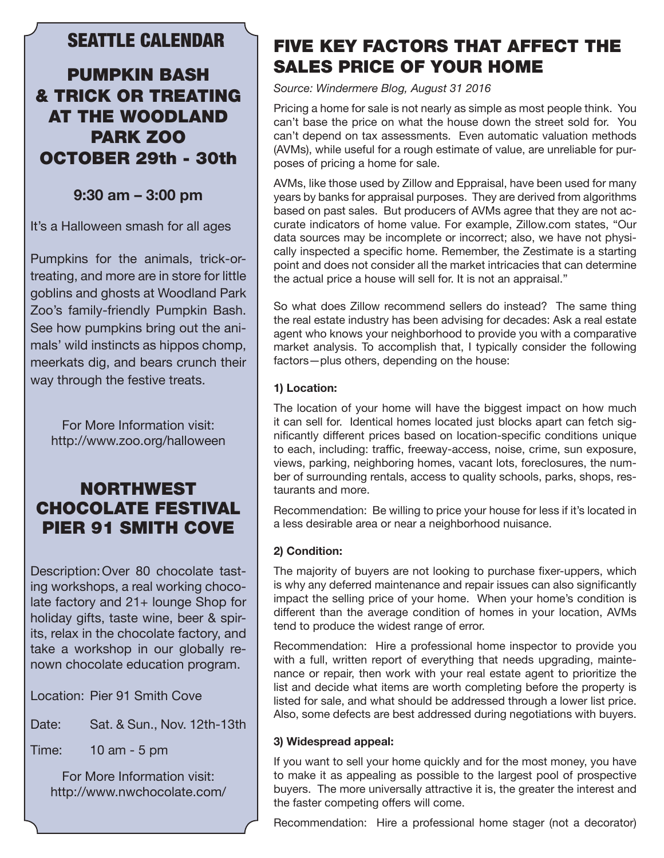### SEATTLE CALENDAR

### PUMPKIN BASH & TRICK OR TREATING AT THE WOODLAND PARK ZOO OCTOBER 29th - 30th

### **9:30 am – 3:00 pm**

It's a Halloween smash for all ages

Pumpkins for the animals, trick-ortreating, and more are in store for little goblins and ghosts at Woodland Park Zoo's family-friendly Pumpkin Bash. See how pumpkins bring out the animals' wild instincts as hippos chomp, meerkats dig, and bears crunch their way through the festive treats.

For More Information visit: http://www.zoo.org/halloween

### NORTHWEST CHOCOLATE FESTIVAL PIER 91 SMITH COVE

Description:Over 80 chocolate tasting workshops, a real working chocolate factory and 21+ lounge Shop for holiday gifts, taste wine, beer & spirits, relax in the chocolate factory, and take a workshop in our globally renown chocolate education program.

Location: Pier 91 Smith Cove

- Date: Sat. & Sun., Nov. 12th-13th
- Time: 10 am 5 pm

For More Information visit: http://www.nwchocolate.com/

# FIVE KEY FACTORS THAT AFFECT THE SALES PRICE OF YOUR HOME

*Source: Windermere Blog, August 31 2016*

Pricing a home for sale is not nearly as simple as most people think. You can't base the price on what the house down the street sold for. You can't depend on tax assessments. Even automatic valuation methods (AVMs), while useful for a rough estimate of value, are unreliable for purposes of pricing a home for sale.

AVMs, like those used by Zillow and Eppraisal, have been used for many years by banks for appraisal purposes. They are derived from algorithms based on past sales. But producers of AVMs agree that they are not accurate indicators of home value. For example, Zillow.com states, "Our data sources may be incomplete or incorrect; also, we have not physically inspected a specific home. Remember, the Zestimate is a starting point and does not consider all the market intricacies that can determine the actual price a house will sell for. It is not an appraisal."

So what does Zillow recommend sellers do instead? The same thing the real estate industry has been advising for decades: Ask a real estate agent who knows your neighborhood to provide you with a comparative market analysis. To accomplish that, I typically consider the following factors—plus others, depending on the house:

#### **1) Location:**

The location of your home will have the biggest impact on how much it can sell for. Identical homes located just blocks apart can fetch significantly different prices based on location-specific conditions unique to each, including: traffic, freeway-access, noise, crime, sun exposure, views, parking, neighboring homes, vacant lots, foreclosures, the number of surrounding rentals, access to quality schools, parks, shops, restaurants and more.

Recommendation: Be willing to price your house for less if it's located in a less desirable area or near a neighborhood nuisance.

#### **2) Condition:**

The majority of buyers are not looking to purchase fixer-uppers, which is why any deferred maintenance and repair issues can also significantly impact the selling price of your home. When your home's condition is different than the average condition of homes in your location, AVMs tend to produce the widest range of error.

Recommendation: Hire a professional home inspector to provide you with a full, written report of everything that needs upgrading, maintenance or repair, then work with your real estate agent to prioritize the list and decide what items are worth completing before the property is listed for sale, and what should be addressed through a lower list price. Also, some defects are best addressed during negotiations with buyers.

#### **3) Widespread appeal:**

If you want to sell your home quickly and for the most money, you have to make it as appealing as possible to the largest pool of prospective buyers. The more universally attractive it is, the greater the interest and the faster competing offers will come.

Recommendation: Hire a professional home stager (not a decorator)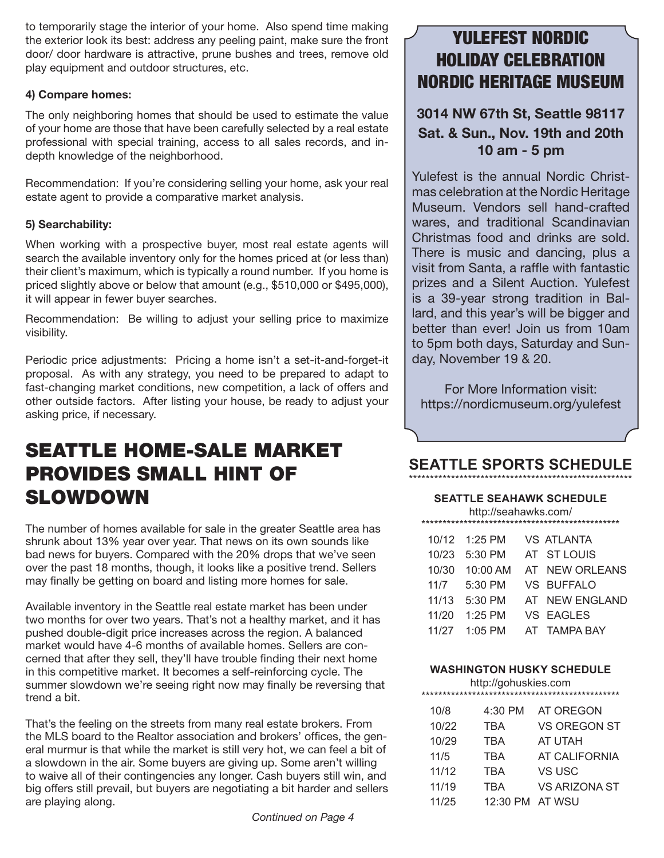to temporarily stage the interior of your home. Also spend time making the exterior look its best: address any peeling paint, make sure the front door/ door hardware is attractive, prune bushes and trees, remove old play equipment and outdoor structures, etc.

#### **4) Compare homes:**

The only neighboring homes that should be used to estimate the value of your home are those that have been carefully selected by a real estate professional with special training, access to all sales records, and indepth knowledge of the neighborhood.

Recommendation: If you're considering selling your home, ask your real estate agent to provide a comparative market analysis.

#### **5) Searchability:**

When working with a prospective buyer, most real estate agents will search the available inventory only for the homes priced at (or less than) their client's maximum, which is typically a round number. If you home is priced slightly above or below that amount (e.g., \$510,000 or \$495,000), it will appear in fewer buyer searches.

Recommendation: Be willing to adjust your selling price to maximize visibility.

Periodic price adjustments: Pricing a home isn't a set-it-and-forget-it proposal. As with any strategy, you need to be prepared to adapt to fast-changing market conditions, new competition, a lack of offers and other outside factors. After listing your house, be ready to adjust your asking price, if necessary.

# SEATTLE HOME-SALE MARKET PROVIDES SMALL HINT OF SLOWDOWN

The number of homes available for sale in the greater Seattle area has shrunk about 13% year over year. That news on its own sounds like bad news for buyers. Compared with the 20% drops that we've seen over the past 18 months, though, it looks like a positive trend. Sellers may finally be getting on board and listing more homes for sale.

Available inventory in the Seattle real estate market has been under two months for over two years. That's not a healthy market, and it has pushed double-digit price increases across the region. A balanced market would have 4-6 months of available homes. Sellers are concerned that after they sell, they'll have trouble finding their next home in this competitive market. It becomes a self-reinforcing cycle. The summer slowdown we're seeing right now may finally be reversing that trend a bit.

That's the feeling on the streets from many real estate brokers. From the MLS board to the Realtor association and brokers' offices, the general murmur is that while the market is still very hot, we can feel a bit of a slowdown in the air. Some buyers are giving up. Some aren't willing to waive all of their contingencies any longer. Cash buyers still win, and big offers still prevail, but buyers are negotiating a bit harder and sellers are playing along.

## YULEFEST NORDIC HOLIDAY CELEBRATION NORDIC HERITAGE MUSEUM

### **3014 NW 67th St, Seattle 98117 Sat. & Sun., Nov. 19th and 20th 10 am - 5 pm**

Yulefest is the annual Nordic Christmas celebration at the Nordic Heritage Museum. Vendors sell hand-crafted wares, and traditional Scandinavian Christmas food and drinks are sold. There is music and dancing, plus a visit from Santa, a raffle with fantastic prizes and a Silent Auction. Yulefest is a 39-year strong tradition in Ballard, and this year's will be bigger and better than ever! Join us from 10am to 5pm both days, Saturday and Sunday, November 19 & 20.

For More Information visit: https://nordicmuseum.org/yulefest

#### **SEATTLE SPORTS SCHEDULE** \*\*\*\*\*\*\*\*\*\*\*\*\*\*\*\*\*\*\*\*\*\*\*\*\*\*\*\*\*\*\*\*\*\*\*\*\*\*\*\*\*\*\*\*\*\*\*\*\*\*\*\*\*

#### **SEATTLE SEAHAWK SCHEDULE** http://seahawks.com/

| 1.111 |               |  |                   |  |  |  |  |  |
|-------|---------------|--|-------------------|--|--|--|--|--|
|       |               |  |                   |  |  |  |  |  |
|       | 10/12 1:25 PM |  | <b>VS ATLANTA</b> |  |  |  |  |  |
| 10/23 | $5:30$ PM     |  | AT STLOUIS        |  |  |  |  |  |
| 10/30 | 10:00 AM      |  | AT NEW ORLEANS    |  |  |  |  |  |
| 11/7  | $5:30$ PM     |  | VS BUFFALO        |  |  |  |  |  |
| 11/13 | $5:30$ PM     |  | AT NEW ENGLAND    |  |  |  |  |  |
| 11/20 | $1:25$ PM     |  | VS EAGLES         |  |  |  |  |  |
| 11/27 | $1:05$ PM     |  | AT TAMPA BAY      |  |  |  |  |  |

#### **WASHINGTON HUSKY SCHEDULE**

| http://gohuskies.com |       |                 |                     |  |  |  |  |
|----------------------|-------|-----------------|---------------------|--|--|--|--|
|                      | 10/8  | 4:30 PM         | AT OREGON           |  |  |  |  |
|                      | 10/22 | TBA             | <b>VS OREGON ST</b> |  |  |  |  |
|                      | 10/29 | TBA             | AT UTAH             |  |  |  |  |
|                      | 11/5  | TBA             | AT CALIFORNIA       |  |  |  |  |
|                      | 11/12 | TBA             | VS USC              |  |  |  |  |
|                      | 11/19 | <b>TBA</b>      | VS ARIZONA ST       |  |  |  |  |
|                      | 11/25 | 12:30 PM AT WSU |                     |  |  |  |  |
|                      |       |                 |                     |  |  |  |  |